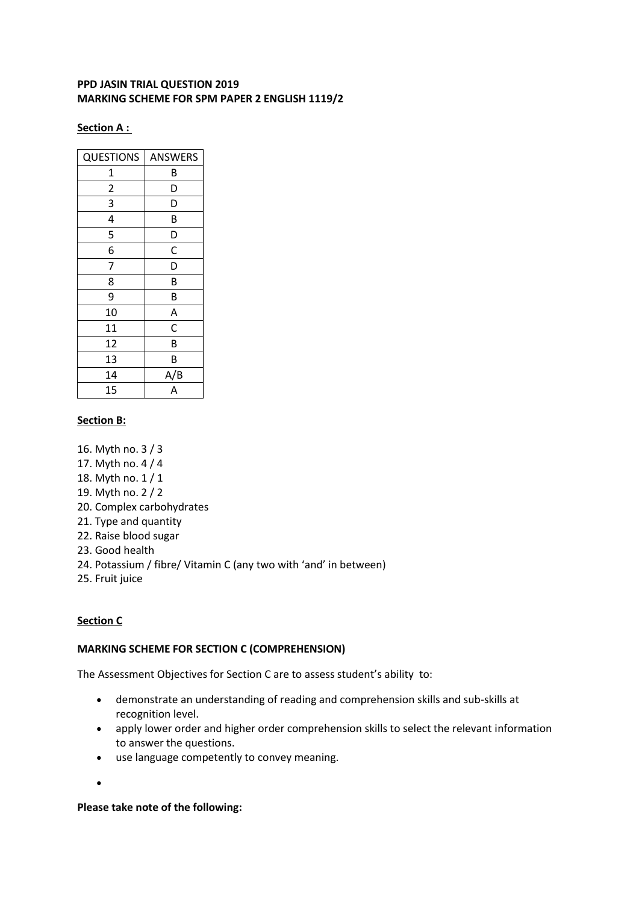## **PPD JASIN TRIAL QUESTION 2019 MARKING SCHEME FOR SPM PAPER 2 ENGLISH 1119/2**

#### **Section A :**

| <b>QUESTIONS</b> | <b>ANSWERS</b>          |
|------------------|-------------------------|
| 1                | В                       |
| $\overline{c}$   | D                       |
| 3                | D                       |
| 4                | B                       |
| 5                | D                       |
| 6                | C                       |
| 7                | D                       |
| 8                | B                       |
| 9                | B                       |
| 10               | A                       |
| 11               | $\overline{\mathsf{C}}$ |
| 12               | B                       |
| 13               | В                       |
| 14               | A/B                     |
| 15               | $\overline{A}$          |

## **Section B:**

- 16. Myth no. 3 / 3
- 17. Myth no. 4 / 4
- 18. Myth no. 1 / 1
- 19. Myth no. 2 / 2
- 20. Complex carbohydrates
- 21. Type and quantity
- 22. Raise blood sugar
- 23. Good health
- 24. Potassium / fibre/ Vitamin C (any two with 'and' in between)
- 25. Fruit juice

# **Section C**

### **MARKING SCHEME FOR SECTION C (COMPREHENSION)**

The Assessment Objectives for Section C are to assess student's ability to:

- demonstrate an understanding of reading and comprehension skills and sub-skills at recognition level.
- apply lower order and higher order comprehension skills to select the relevant information to answer the questions.
- use language competently to convey meaning.
- $\bullet$

### **Please take note of the following:**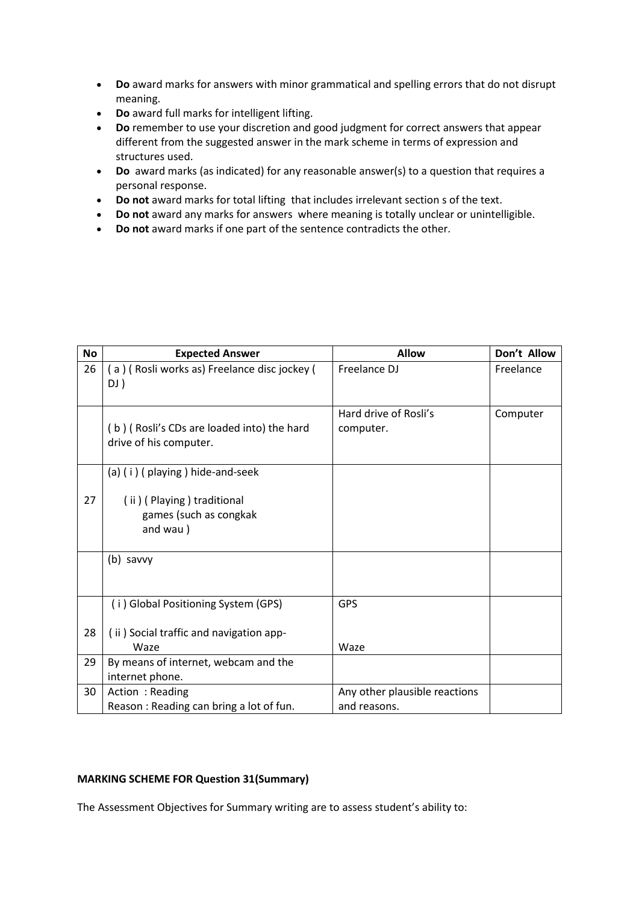- **Do** award marks for answers with minor grammatical and spelling errors that do not disrupt meaning.
- **Do** award full marks for intelligent lifting.
- **Do** remember to use your discretion and good judgment for correct answers that appear different from the suggested answer in the mark scheme in terms of expression and structures used.
- **Do** award marks (as indicated) for any reasonable answer(s) to a question that requires a personal response.
- **Do not** award marks for total lifting that includes irrelevant section s of the text.
- **Do not** award any marks for answers where meaning is totally unclear or unintelligible.
- **Do not** award marks if one part of the sentence contradicts the other.

| <b>No</b> | <b>Expected Answer</b>                                               | <b>Allow</b>                                  | Don't Allow |
|-----------|----------------------------------------------------------------------|-----------------------------------------------|-------------|
| 26        | (a) (Rosli works as) Freelance disc jockey (<br>DJ)                  | Freelance DJ                                  | Freelance   |
|           | (b) (Rosli's CDs are loaded into) the hard<br>drive of his computer. | Hard drive of Rosli's<br>computer.            | Computer    |
|           | (a) (i) (playing) hide-and-seek                                      |                                               |             |
| 27        | (ii) (Playing) traditional<br>games (such as congkak<br>and wau)     |                                               |             |
|           | (b) savvy                                                            |                                               |             |
|           | (i) Global Positioning System (GPS)                                  | <b>GPS</b>                                    |             |
| 28        | (ii) Social traffic and navigation app-<br>Waze                      | Waze                                          |             |
| 29        | By means of internet, webcam and the<br>internet phone.              |                                               |             |
| 30        | Action: Reading<br>Reason: Reading can bring a lot of fun.           | Any other plausible reactions<br>and reasons. |             |

## **MARKING SCHEME FOR Question 31(Summary)**

The Assessment Objectives for Summary writing are to assess student's ability to: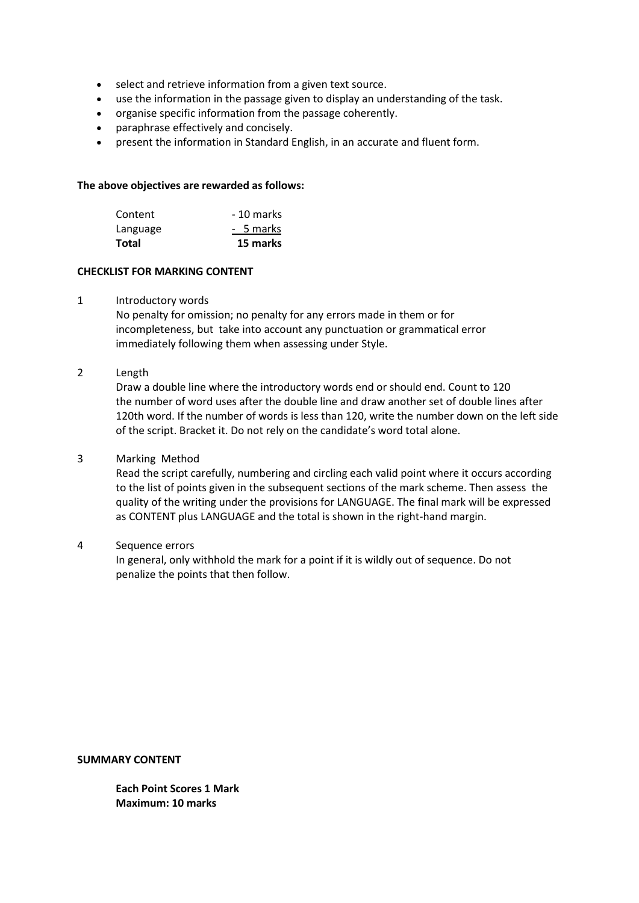- select and retrieve information from a given text source.
- use the information in the passage given to display an understanding of the task.
- organise specific information from the passage coherently.
- paraphrase effectively and concisely.
- present the information in Standard English, in an accurate and fluent form.

#### **The above objectives are rewarded as follows:**

| <b>Total</b> | 15 marks   |
|--------------|------------|
| Language     | - 5 marks  |
| Content      | - 10 marks |

#### **CHECKLIST FOR MARKING CONTENT**

#### 1 Introductory words

No penalty for omission; no penalty for any errors made in them or for incompleteness, but take into account any punctuation or grammatical error immediately following them when assessing under Style.

## 2 Length

Draw a double line where the introductory words end or should end. Count to 120 the number of word uses after the double line and draw another set of double lines after 120th word. If the number of words is less than 120, write the number down on the left side of the script. Bracket it. Do not rely on the candidate's word total alone.

#### 3 Marking Method

Read the script carefully, numbering and circling each valid point where it occurs according to the list of points given in the subsequent sections of the mark scheme. Then assess the quality of the writing under the provisions for LANGUAGE. The final mark will be expressed as CONTENT plus LANGUAGE and the total is shown in the right-hand margin.

#### 4 Sequence errors

In general, only withhold the mark for a point if it is wildly out of sequence. Do not penalize the points that then follow.

**SUMMARY CONTENT**

**Each Point Scores 1 Mark Maximum: 10 marks**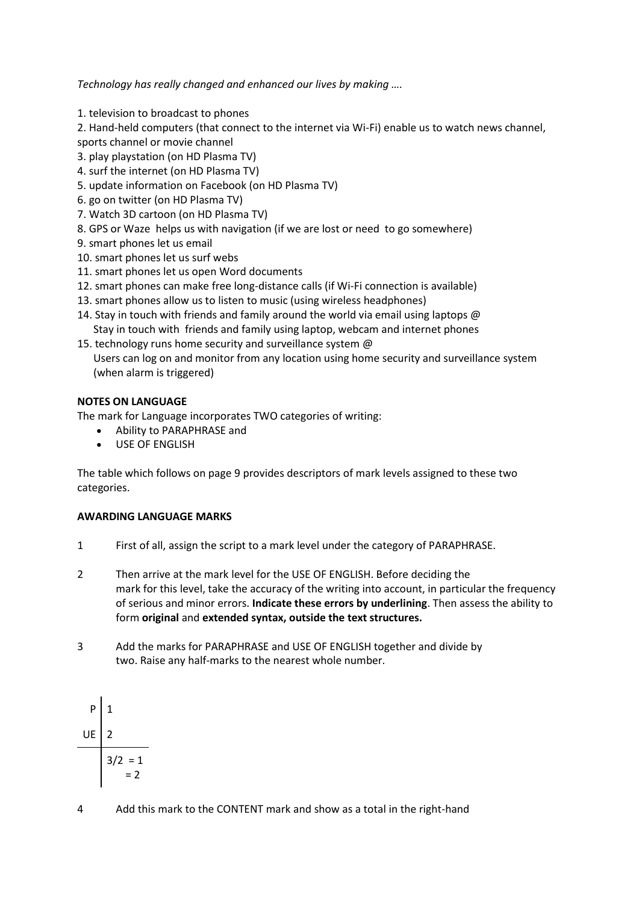*Technology has really changed and enhanced our lives by making ….*

1. television to broadcast to phones

2. Hand-held computers (that connect to the internet via Wi-Fi) enable us to watch news channel, sports channel or movie channel

- 3. play playstation (on HD Plasma TV)
- 4. surf the internet (on HD Plasma TV)
- 5. update information on Facebook (on HD Plasma TV)
- 6. go on twitter (on HD Plasma TV)
- 7. Watch 3D cartoon (on HD Plasma TV)
- 8. GPS or Waze helps us with navigation (if we are lost or need to go somewhere)
- 9. smart phones let us email
- 10. smart phones let us surf webs
- 11. smart phones let us open Word documents
- 12. smart phones can make free long-distance calls (if Wi-Fi connection is available)
- 13. smart phones allow us to listen to music (using wireless headphones)
- 14. Stay in touch with friends and family around the world via email using laptops @ Stay in touch with friends and family using laptop, webcam and internet phones
- 15. technology runs home security and surveillance system @ Users can log on and monitor from any location using home security and surveillance system (when alarm is triggered)

## **NOTES ON LANGUAGE**

The mark for Language incorporates TWO categories of writing:

- Ability to PARAPHRASE and
- USE OF ENGLISH

The table which follows on page 9 provides descriptors of mark levels assigned to these two categories.

#### **AWARDING LANGUAGE MARKS**

- 1 First of all, assign the script to a mark level under the category of PARAPHRASE.
- 2 Then arrive at the mark level for the USE OF ENGLISH. Before deciding the mark for this level, take the accuracy of the writing into account, in particular the frequency of serious and minor errors. **Indicate these errors by underlining**. Then assess the ability to form **original** and **extended syntax, outside the text structures.**
- 3 Add the marks for PARAPHRASE and USE OF ENGLISH together and divide by two. Raise any half-marks to the nearest whole number.

$$
\begin{array}{c|c}\n & \text{P} & 1 \\
& \text{UE} & 2 \\
& \text{3/2} & = 1 \\
& \text{5/2} & = 2\n\end{array}
$$

4 Add this mark to the CONTENT mark and show as a total in the right-hand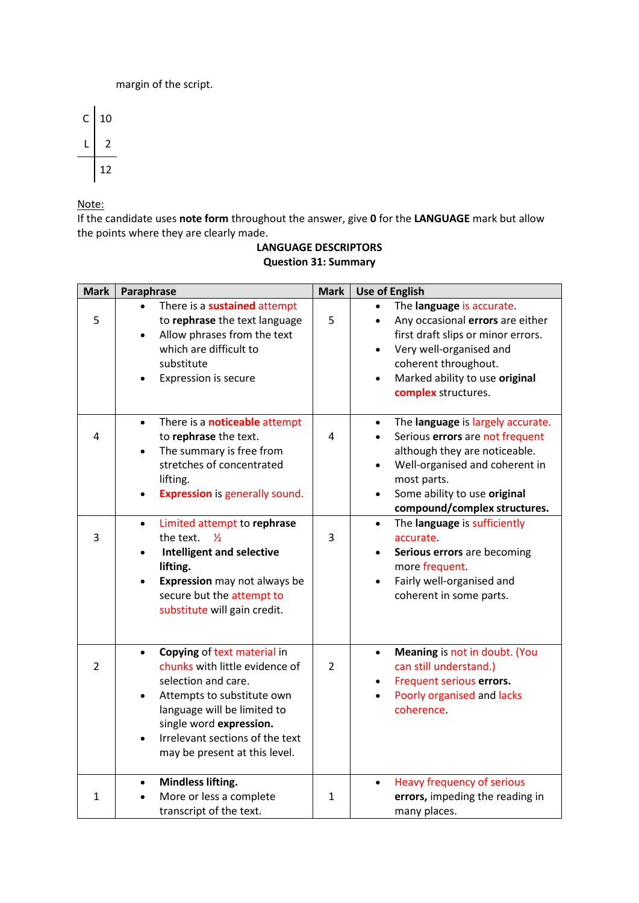margin of the script.



Note:

If the candidate uses **note form** throughout the answer, give **0** for the **LANGUAGE** mark but allow the points where they are clearly made.

# **LANGUAGE DESCRIPTORS Question 31: Summary**

| <b>Mark</b>  | Paraphrase                                                                                                                                                                                                                                                                              | <b>Mark</b>    | <b>Use of English</b>                                                                                                                                                                                                                                                      |
|--------------|-----------------------------------------------------------------------------------------------------------------------------------------------------------------------------------------------------------------------------------------------------------------------------------------|----------------|----------------------------------------------------------------------------------------------------------------------------------------------------------------------------------------------------------------------------------------------------------------------------|
| 5            | There is a sustained attempt<br>to rephrase the text language<br>Allow phrases from the text<br>$\bullet$<br>which are difficult to<br>substitute<br>Expression is secure                                                                                                               | 5              | The language is accurate.<br>Any occasional errors are either<br>$\bullet$<br>first draft slips or minor errors.<br>Very well-organised and<br>$\bullet$<br>coherent throughout.<br>Marked ability to use original<br>$\bullet$<br>complex structures.                     |
| 4            | There is a <b>noticeable</b> attempt<br>$\bullet$<br>to rephrase the text.<br>The summary is free from<br>$\bullet$<br>stretches of concentrated<br>lifting.<br><b>Expression</b> is generally sound.<br>$\bullet$                                                                      | 4              | The language is largely accurate.<br>$\bullet$<br>Serious errors are not frequent<br>$\bullet$<br>although they are noticeable.<br>Well-organised and coherent in<br>$\bullet$<br>most parts.<br>Some ability to use original<br>$\bullet$<br>compound/complex structures. |
| 3            | Limited attempt to rephrase<br>$\bullet$<br>the text.<br>$\frac{1}{2}$<br><b>Intelligent and selective</b><br>$\bullet$<br>lifting.<br>Expression may not always be<br>$\bullet$<br>secure but the attempt to<br>substitute will gain credit.                                           | 3              | The language is sufficiently<br>$\bullet$<br>accurate<br>Serious errors are becoming<br>more frequent.<br>Fairly well-organised and<br>$\bullet$<br>coherent in some parts.                                                                                                |
| 2            | Copying of text material in<br>$\bullet$<br>chunks with little evidence of<br>selection and care.<br>Attempts to substitute own<br>$\bullet$<br>language will be limited to<br>single word expression.<br>Irrelevant sections of the text<br>$\bullet$<br>may be present at this level. | $\overline{2}$ | Meaning is not in doubt. (You<br>$\bullet$<br>can still understand.)<br>Frequent serious errors.<br>Poorly organised and lacks<br>$\bullet$<br>coherence.                                                                                                                  |
| $\mathbf{1}$ | <b>Mindless lifting.</b><br>$\bullet$<br>More or less a complete<br>transcript of the text.                                                                                                                                                                                             | $\mathbf{1}$   | Heavy frequency of serious<br>errors, impeding the reading in<br>many places.                                                                                                                                                                                              |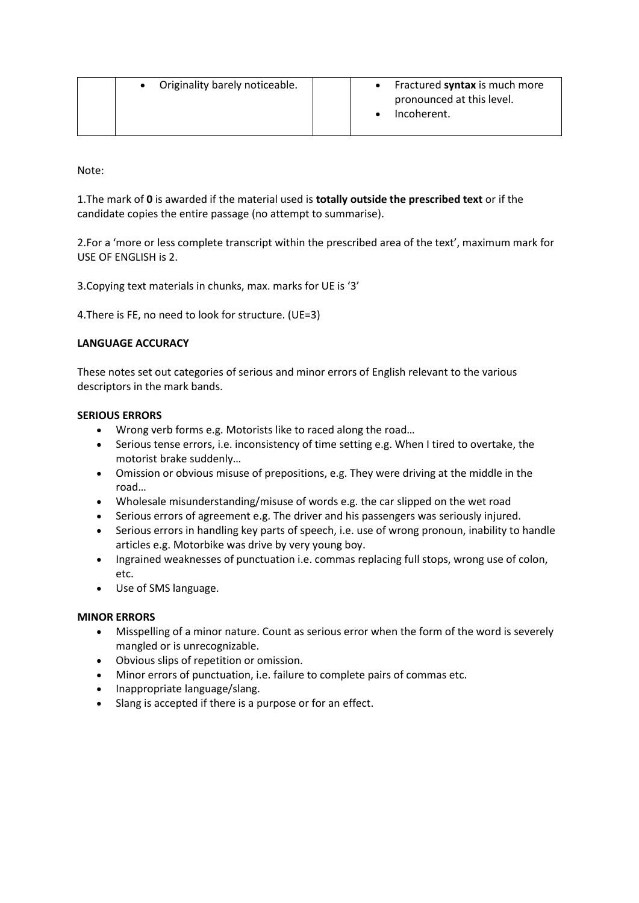|  | Originality barely noticeable. |  | Fractured <b>syntax</b> is much more |
|--|--------------------------------|--|--------------------------------------|
|  |                                |  | pronounced at this level.            |
|  |                                |  | Incoherent.                          |
|  |                                |  |                                      |

Note:

1.The mark of **0** is awarded if the material used is **totally outside the prescribed text** or if the candidate copies the entire passage (no attempt to summarise).

2.For a 'more or less complete transcript within the prescribed area of the text', maximum mark for USE OF ENGLISH is 2.

3.Copying text materials in chunks, max. marks for UE is '3'

4.There is FE, no need to look for structure. (UE=3)

## **LANGUAGE ACCURACY**

These notes set out categories of serious and minor errors of English relevant to the various descriptors in the mark bands.

#### **SERIOUS ERRORS**

- Wrong verb forms e.g. Motorists like to raced along the road…
- Serious tense errors, i.e. inconsistency of time setting e.g. When I tired to overtake, the motorist brake suddenly…
- Omission or obvious misuse of prepositions, e.g. They were driving at the middle in the road…
- Wholesale misunderstanding/misuse of words e.g. the car slipped on the wet road
- Serious errors of agreement e.g. The driver and his passengers was seriously injured.
- Serious errors in handling key parts of speech, i.e. use of wrong pronoun, inability to handle articles e.g. Motorbike was drive by very young boy.
- Ingrained weaknesses of punctuation i.e. commas replacing full stops, wrong use of colon, etc.
- Use of SMS language.

#### **MINOR ERRORS**

- Misspelling of a minor nature. Count as serious error when the form of the word is severely mangled or is unrecognizable.
- Obvious slips of repetition or omission.
- Minor errors of punctuation, i.e. failure to complete pairs of commas etc.
- Inappropriate language/slang.
- Slang is accepted if there is a purpose or for an effect.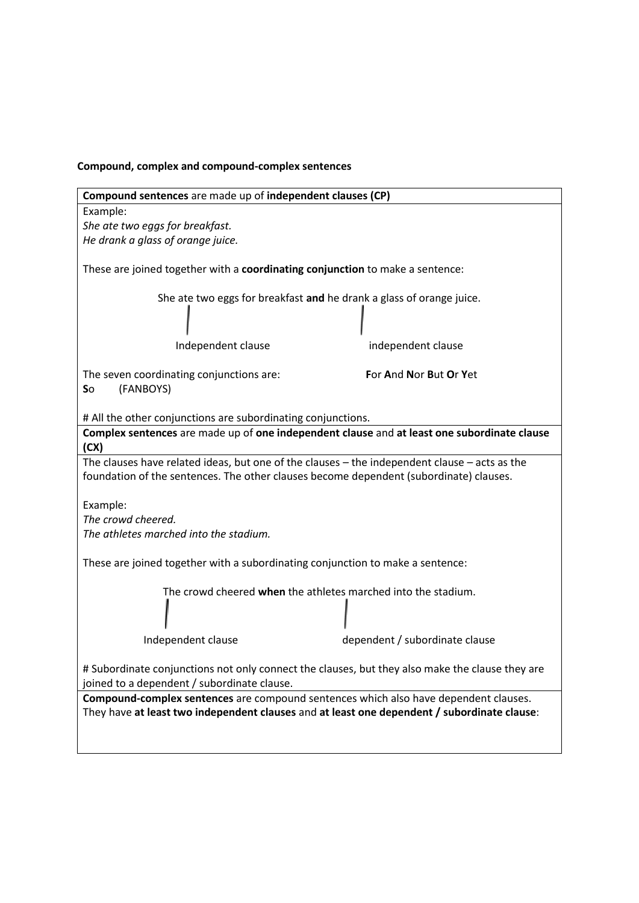# **Compound, complex and compound-complex sentences**

| Compound sentences are made up of independent clauses (CP)                                                                                                                              |                                |  |  |
|-----------------------------------------------------------------------------------------------------------------------------------------------------------------------------------------|--------------------------------|--|--|
| Example:                                                                                                                                                                                |                                |  |  |
| She ate two eggs for breakfast.                                                                                                                                                         |                                |  |  |
| He drank a glass of orange juice.                                                                                                                                                       |                                |  |  |
| These are joined together with a coordinating conjunction to make a sentence:                                                                                                           |                                |  |  |
| She ate two eggs for breakfast and he drank a glass of orange juice.                                                                                                                    |                                |  |  |
| Independent clause                                                                                                                                                                      | independent clause             |  |  |
| The seven coordinating conjunctions are:<br>(FANBOYS)<br><b>So</b>                                                                                                                      | For And Nor But Or Yet         |  |  |
| # All the other conjunctions are subordinating conjunctions.                                                                                                                            |                                |  |  |
| Complex sentences are made up of one independent clause and at least one subordinate clause                                                                                             |                                |  |  |
| (CX)                                                                                                                                                                                    |                                |  |  |
| The clauses have related ideas, but one of the clauses - the independent clause - acts as the<br>foundation of the sentences. The other clauses become dependent (subordinate) clauses. |                                |  |  |
| Example:                                                                                                                                                                                |                                |  |  |
| The crowd cheered.                                                                                                                                                                      |                                |  |  |
| The athletes marched into the stadium.                                                                                                                                                  |                                |  |  |
|                                                                                                                                                                                         |                                |  |  |
| These are joined together with a subordinating conjunction to make a sentence:                                                                                                          |                                |  |  |
| The crowd cheered when the athletes marched into the stadium.                                                                                                                           |                                |  |  |
| Independent clause                                                                                                                                                                      | dependent / subordinate clause |  |  |
| # Subordinate conjunctions not only connect the clauses, but they also make the clause they are<br>joined to a dependent / subordinate clause.                                          |                                |  |  |
| Compound-complex sentences are compound sentences which also have dependent clauses.                                                                                                    |                                |  |  |
| They have at least two independent clauses and at least one dependent / subordinate clause:                                                                                             |                                |  |  |
|                                                                                                                                                                                         |                                |  |  |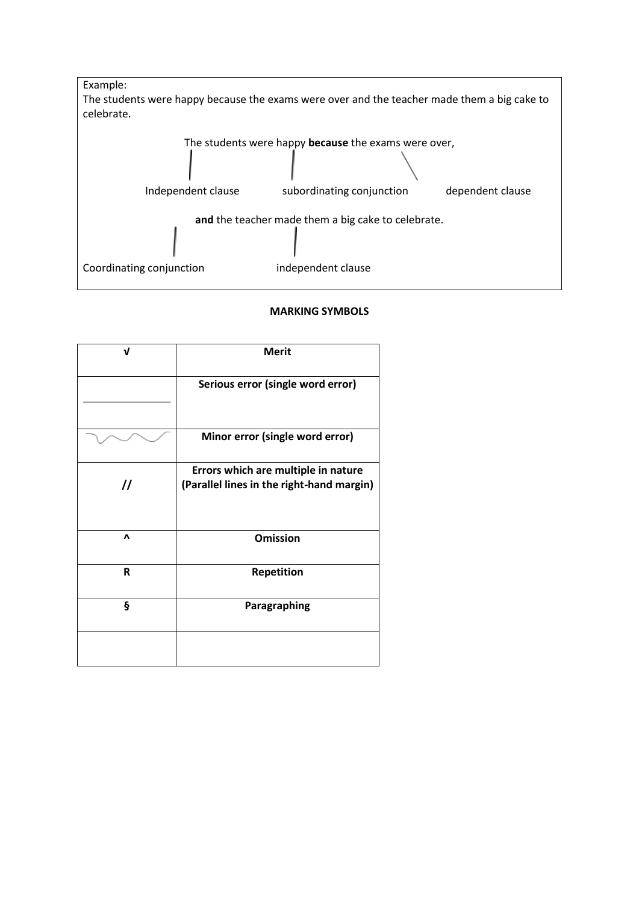

## **MARKING SYMBOLS**

| ν              | <b>Merit</b>                              |
|----------------|-------------------------------------------|
|                | Serious error (single word error)         |
|                | Minor error (single word error)           |
|                | Errors which are multiple in nature       |
| $\prime\prime$ | (Parallel lines in the right-hand margin) |
| Λ              | <b>Omission</b>                           |
| R              | Repetition                                |
| ş              | Paragraphing                              |
|                |                                           |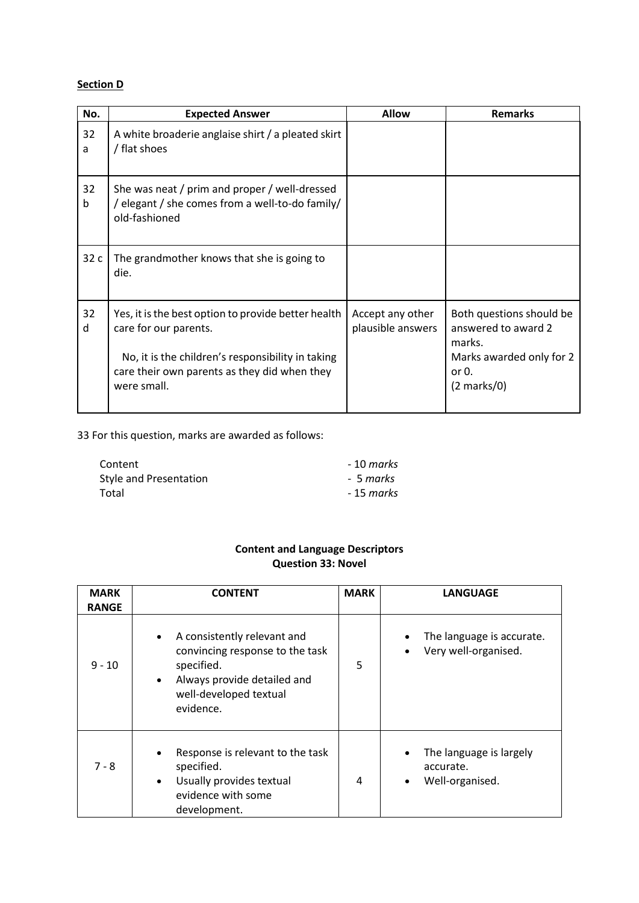# **Section D**

| No.     | <b>Expected Answer</b>                                                                                                                                                                           | <b>Allow</b>                          | <b>Remarks</b>                                                                                                             |
|---------|--------------------------------------------------------------------------------------------------------------------------------------------------------------------------------------------------|---------------------------------------|----------------------------------------------------------------------------------------------------------------------------|
| 32<br>a | A white broaderie anglaise shirt / a pleated skirt<br>/ flat shoes                                                                                                                               |                                       |                                                                                                                            |
| 32<br>b | She was neat / prim and proper / well-dressed<br>/ elegant / she comes from a well-to-do family/<br>old-fashioned                                                                                |                                       |                                                                                                                            |
| 32 c    | The grandmother knows that she is going to<br>die.                                                                                                                                               |                                       |                                                                                                                            |
| 32<br>d | Yes, it is the best option to provide better health<br>care for our parents.<br>No, it is the children's responsibility in taking<br>care their own parents as they did when they<br>were small. | Accept any other<br>plausible answers | Both questions should be<br>answered to award 2<br>marks.<br>Marks awarded only for 2<br>or $0$ .<br>$(2 \text{ marks}/0)$ |

33 For this question, marks are awarded as follows:

| Content                | - 10 marks |
|------------------------|------------|
| Style and Presentation | - 5 marks  |
| Total                  | - 15 marks |

# **Content and Language Descriptors Question 33: Novel**

| <b>MARK</b><br><b>RANGE</b> | <b>CONTENT</b>                                                                                                                                                               | <b>MARK</b> | <b>LANGUAGE</b>                                                      |
|-----------------------------|------------------------------------------------------------------------------------------------------------------------------------------------------------------------------|-------------|----------------------------------------------------------------------|
| $9 - 10$                    | A consistently relevant and<br>$\bullet$<br>convincing response to the task<br>specified.<br>Always provide detailed and<br>$\bullet$<br>well-developed textual<br>evidence. | 5           | The language is accurate.<br>Very well-organised.                    |
| $7 - 8$                     | Response is relevant to the task<br>$\bullet$<br>specified.<br>Usually provides textual<br>$\bullet$<br>evidence with some<br>development.                                   | 4           | The language is largely<br>accurate.<br>Well-organised.<br>$\bullet$ |